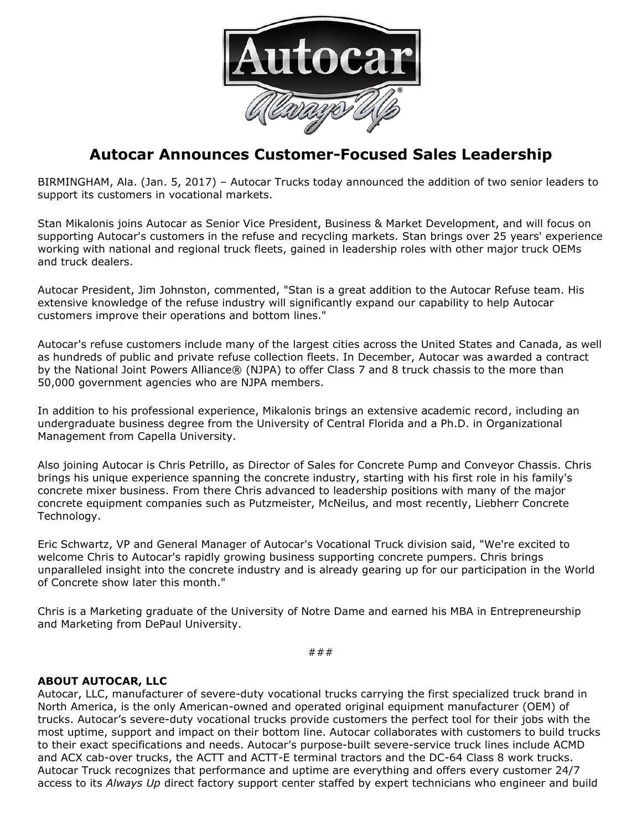

## **Autocar Announces Customer-Focused Sales Leadership**

BIRMINGHAM, Ala. (Jan. 5, 2017) – Autocar Trucks today announced the addition of two senior leaders to support its customers in vocational markets.

Stan Mikalonis joins Autocar as Senior Vice President, Business & Market Development, and will focus on supporting Autocar's customers in the refuse and recycling markets. Stan brings over 25 years' experience working with national and regional truck fleets, gained in leadership roles with other major truck OEMs and truck dealers.

Autocar President, Jim Johnston, commented, "Stan is a great addition to the Autocar Refuse team. His extensive knowledge of the refuse industry will significantly expand our capability to help Autocar customers improve their operations and bottom lines."

Autocar's refuse customers include many of the largest cities across the United States and Canada, as well as hundreds of public and private refuse collection fleets. In December, Autocar was awarded a contract by the National Joint Powers Alliance® (NJPA) to offer Class 7 and 8 truck chassis to the more than 50,000 government agencies who are NJPA members.

In addition to his professional experience, Mikalonis brings an extensive academic record, including an undergraduate business degree from the University of Central Florida and a Ph.D. in Organizational Management from Capella University.

Also joining Autocar is Chris Petrillo, as Director of Sales for Concrete Pump and Conveyor Chassis. Chris brings his unique experience spanning the concrete industry, starting with his first role in his family's concrete mixer business. From there Chris advanced to leadership positions with many of the major concrete equipment companies such as Putzmeister, McNeilus, and most recently, Liebherr Concrete Technology.

Eric Schwartz, VP and General Manager of Autocar's Vocational Truck division said, "We're excited to welcome Chris to Autocar's rapidly growing business supporting concrete pumpers. Chris brings unparalleled insight into the concrete industry and is already gearing up for our participation in the World of Concrete show later this month."

Chris is a Marketing graduate of the University of Notre Dame and earned his MBA in Entrepreneurship and Marketing from DePaul University.

###

## **ABOUT AUTOCAR, LLC**

Autocar, LLC, manufacturer of severe-duty vocational trucks carrying the first specialized truck brand in North America, is the only American-owned and operated original equipment manufacturer (OEM) of trucks. Autocar's severe-duty vocational trucks provide customers the perfect tool for their jobs with the most uptime, support and impact on their bottom line. Autocar collaborates with customers to build trucks to their exact specifications and needs. Autocar's purpose-built severe-service truck lines include ACMD and ACX cab-over trucks, the ACTT and ACTT-E terminal tractors and the DC-64 Class 8 work trucks. Autocar Truck recognizes that performance and uptime are everything and offers every customer 24/7 access to its *Always Up* direct factory support center staffed by expert technicians who engineer and build